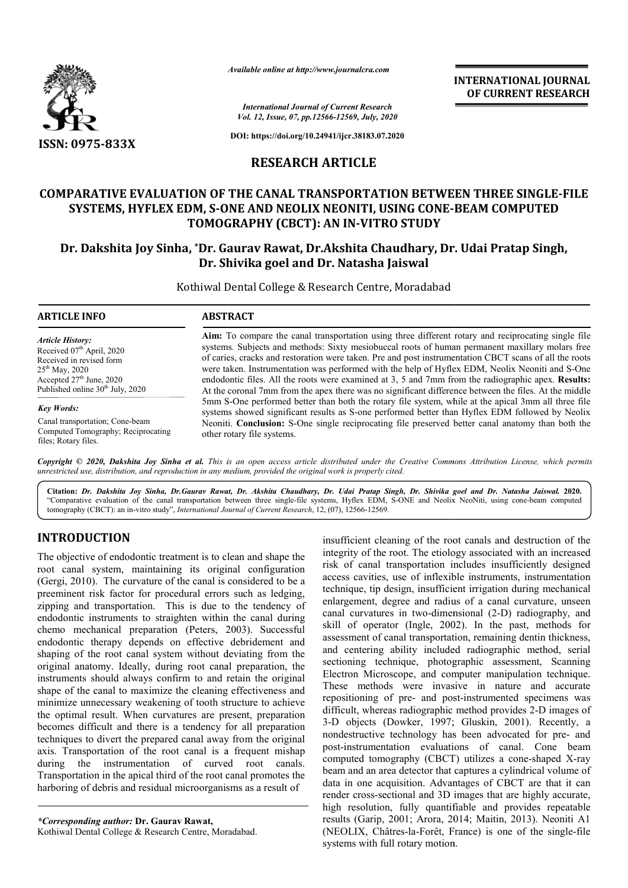

*Available online at http://www.journalcra.com*

**INTERNATIONAL JOURNAL OF CURRENT RESEARCH**

*International Journal of Current Research Vol. 12, Issue, 07, pp.12566-12569, July, 2020*

**DOI: https://doi.org/10.24941/ijcr.38183.07.2020**

# **RESEARCH ARTICLE**

# **COMPARATIVE EVALUATION OF THE CANAL TRANSPORTATION BETWEEN THREE SINGLE-FILE** SYSTEMS, HYFLEX EDM, S-ONE AND NEOLIX NEONITI, USING CONE-BEAM COMPUTED **TOMOGRAPHY (CBCT): AN IN IN-VITRO STUDY**

# **Dr. Dakshita Joy Sinha, \*Dr. Gaurav Rawat, Dr.Akshita Chaudhary, Dr. Udai Pratap Singh, Dr. Shivika goel and Dr. Natasha Jaiswal**

Kothiwal Dental College & Research Centre, Moradabad

| <b>ARTICLE INFO</b>                          | <b>ABSTRACT</b>                                                                                        |  |  |
|----------------------------------------------|--------------------------------------------------------------------------------------------------------|--|--|
| <b>Article History:</b>                      | Aim: To compare the canal transportation using three different rotary and reciprocating single file    |  |  |
| Received 07 <sup>th</sup> April, 2020        | systems. Subjects and methods: Sixty mesiobuccal roots of human permanent maxillary molars free        |  |  |
| Received in revised form                     | of caries, cracks and restoration were taken. Pre and post instrumentation CBCT scans of all the roots |  |  |
| $25th$ May, 2020                             | were taken. Instrumentation was performed with the help of Hyflex EDM, Neolix Neoniti and S-One        |  |  |
| Accepted $27th$ June, 2020                   | endodontic files. All the roots were examined at 3, 5 and 7mm from the radiographic apex. Results:     |  |  |
| Published online 30 <sup>th</sup> July, 2020 | At the coronal 7mm from the apex there was no significant difference between the files. At the middle  |  |  |
| <b>Key Words:</b>                            | 5mm S-One performed better than both the rotary file system, while at the apical 3mm all three file    |  |  |
| Canal transportation; Cone-beam              | systems showed significant results as S-one performed better than Hyflex EDM followed by Neolix        |  |  |
| Computed Tomography; Reciprocating           | Neoniti. Conclusion: S-One single reciprocating file preserved better canal anatomy than both the      |  |  |
| files; Rotary files.                         | other rotary file systems.                                                                             |  |  |

**Copyright © 2020, Dakshita Joy Sinha et al.** This is an open access article distributed under the Creative Commons Attribution License, which permits *unrestricted use, distribution, and reproduction in any medium, provided the original work is properly cited.*

**Citation:** *Dr. Dakshita Joy Sinha, Dr.Gaurav Rawat, Dr. Akshita Chaudhary, Dr. Udai Pratap Singh, Dr. Shivika goel and Shivika goel Dr. Natasha Jaiswal.* **2020.** "Comparative evaluation of the canal transportation between three single-file systems, Hyflex EDM, S-ONE and Neolix NeoNiti, using cone-beam computed tomography (CBCT): an in-vitro study", *International Journal of Current Research*, 12, (07), 12566-12569.

# **INTRODUCTION**

The objective of endodontic treatment is to clean and shape the root canal system, maintaining its original configuration (Gergi, 2010). The curvature of the canal is considered to be a preeminent risk factor for procedural errors such as ledging, zipping and transportation. This is due to the tendency of endodontic instruments to straighten within the canal during chemo mechanical preparation (Peters, 2003). Successful endodontic therapy depends on effective debridement and shaping of the root canal system without deviating from the original anatomy. Ideally, during root canal preparation, the instruments should always confirm to and retain the original shape of the canal to maximize the cleaning effectiveness and minimize unnecessary weakening of tooth structure to achieve the optimal result. When curvatures are present, preparation becomes difficult and there is a tendency for all preparation techniques to divert the prepared canal away from the original axis. Transportation of the root canal is a frequent mishap during the instrumentation of curved root canals. Transportation in the apical third of the root canal promotes the harboring of debris and residual microorganisms as a result of Gergi, 2010). The curvature of the canal is considered to be a reeminent risk factor for procedural errors such as ledging, ipping and transportation. This is due to the tendency of mdodontic instruments to straighten with vert the prepared canal away from the<br>ation of the root canal is a frequent<br>instrumentation of curved root<br>in the apical third of the root canal provision and residual microorganisms as<br>ation of the root canal provision an

*\*Corresponding author:* **Dr. Gaurav Rawat,** Kothiwal Dental College & Research Centre, Moradabad insufficient cleaning of the root canals and destruction of the insufficient cleaning of the root canals and destruction of the integrity of the root. The etiology associated with an increased risk of canal transportation includes insufficiently designed access cavities, use of inflexible instruments, instrumentation technique, tip design, insufficient irrigation during mechanical enlargement, degree and radius of a canal curvature, un canal curvatures in two-dimensional (2-D) radiography, and skill of operator (Ingle, 2002). In the past, methods for assessment of canal transportation, remaining dentin thickness, and centering ability included radiographic method, serial sectioning technique, photographic assessment, Scanning Electron Microscope, and computer manipulation technique. These methods were invasive in nature and accurate repositioning of pre- and post-instrumented specimens was difficult, whereas radiographic method provides 2-D images of 3-D objects (Dowker, 1997; Gluskin, 2001). Recently, a nondestructive technology has been advocated for pre- and post-instrumentation evaluations of canal. Cone beam post-instrumentation evaluations of canal. Cone beam<br>computed tomography (CBCT) utilizes a cone-shaped X-ray beam and an area detector that captures a cylindrical volume of data in one acquisition. Advantages of CBCT are that it can render cross-sectional and 3D images that are highly accurate, high resolution, fully quantifiable and provides repeatable results (Garip, 2001; Arora, 2014; Maitin, 2013). Neoniti A1 (NEOLIX, Châtres-la-Forêt, France) is one of the single-file systems with full rotary motion. risk of canal transportation includes insufficiently designed<br>access cavities, use of inflexible instruments, instrumentation<br>technique, tip design, insufficient irrigation during mechanical<br>enlargement, degree and radius and centering ability included radiographic method, serial sectioning technique, photographic assessment, Scanning Electron Microscope, and computer manipulation technique. These methods were invasive in nature and accurat d an area detector that captures a cylindrical volume of one acquisition. Advantages of CBCT are that it can ross-sectional and 3D images that are highly accurate, solution, fully quantifiable and provides repeatable Garip INTERNATIONAL JOURNAL<br>
Research<br>
OF CURRENT RESEARCH<br>
July 2018<br>
July 2019<br>
July 2019<br>
2016<br>
2016<br>
2018 1933/2020<br>
TLET TATION BETWEEN THREE SINGLE-FILE<br>
TTATION BETWEEN THREE SINGLE-FILE<br>
TTATION IS CONE-BEAM COMPUTED<br>
20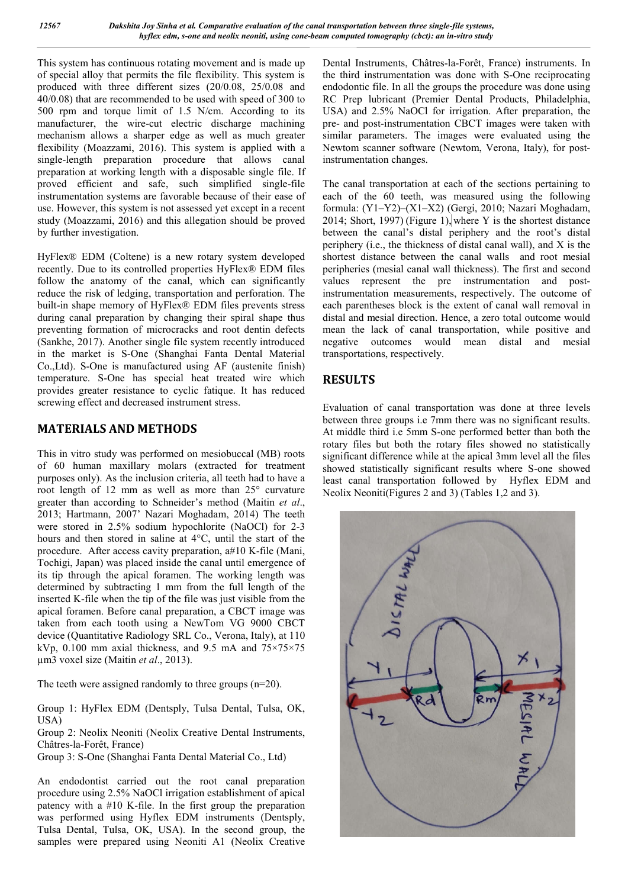This system has continuous rotating movement and is made up of special alloy that permits the file flexibility. This system is produced with three different sizes (20/0.08, 25/0.08 and 40/0.08) that are recommended to be used with speed of 300 to 500 rpm and torque limit of 1.5 N/cm. According to its manufacturer, the wire-cut electric discharge machining mechanism allows a sharper edge as well as much greater flexibility (Moazzami, 2016). This system is applied with a single-length preparation procedure that allows canal preparation at working length with a disposable single file. If proved efficient and safe, such simplified single-file instrumentation systems are favorable because of their ease of use. However, this system is not assessed yet except in a recent study (Moazzami, 2016) and this allegation should be proved by further investigation.

HyFlex® EDM (Coltene) is a new rotary system developed recently. Due to its controlled properties HyFlex® EDM files follow the anatomy of the canal, which can significantly reduce the risk of ledging, transportation and perforation. The built-in shape memory of HyFlex® EDM files prevents stress during canal preparation by changing their spiral shape thus preventing formation of microcracks and root dentin defects (Sankhe, 2017). Another single file system recently introduced in the market is S-One (Shanghai Fanta Dental Material Co.,Ltd). S-One is manufactured using AF (austenite finish) temperature. S-One has special heat treated wire which provides greater resistance to cyclic fatique. It has reduced screwing effect and decreased instrument stress.

# **MATERIALS AND METHODS**

This in vitro study was performed on mesiobuccal (MB) roots of 60 human maxillary molars (extracted for treatment purposes only). As the inclusion criteria, all teeth had to have a root length of 12 mm as well as more than 25° curvature greater than according to Schneider's method (Maitin *et al*., 2013; Hartmann, 2007' Nazari Moghadam, 2014) The teeth were stored in 2.5% sodium hypochlorite (NaOCl) for 2-3 hours and then stored in saline at 4°C, until the start of the procedure. After access cavity preparation, a#10 K-file (Mani, Tochigi, Japan) was placed inside the canal until emergence of its tip through the apical foramen. The working length was determined by subtracting 1 mm from the full length of the inserted K-file when the tip of the file was just visible from the apical foramen. Before canal preparation, a CBCT image was taken from each tooth using a NewTom VG 9000 CBCT device (Quantitative Radiology SRL Co., Verona, Italy), at 110 kVp,  $0.100$  mm axial thickness, and 9.5 mA and  $75\times75\times75$ µm3 voxel size (Maitin *et al*., 2013).

The teeth were assigned randomly to three groups  $(n=20)$ .

Group 1: HyFlex EDM (Dentsply, Tulsa Dental, Tulsa, OK, USA)

Group 2: Neolix Neoniti (Neolix Creative Dental Instruments, Châtres-la-Forêt, France)

Group 3: S-One (Shanghai Fanta Dental Material Co., Ltd)

An endodontist carried out the root canal preparation procedure using 2.5% NaOCl irrigation establishment of apical patency with a #10 K-file. In the first group the preparation was performed using Hyflex EDM instruments (Dentsply, Tulsa Dental, Tulsa, OK, USA). In the second group, the samples were prepared using Neoniti A1 (Neolix Creative Dental Instruments, Châtres-la-Forêt, France) instruments. In the third instrumentation was done with S-One reciprocating endodontic file. In all the groups the procedure was done using RC Prep lubricant (Premier Dental Products, Philadelphia, USA) and 2.5% NaOCl for irrigation. After preparation, the pre- and post-instrumentation CBCT images were taken with similar parameters. The images were evaluated using the Newtom scanner software (Newtom, Verona, Italy), for postinstrumentation changes.

The canal transportation at each of the sections pertaining to each of the 60 teeth, was measured using the following formula: (Y1–Y2)–(X1–X2) (Gergi, 2010; Nazari Moghadam, 2014; Short, 1997) (Figure 1), where Y is the shortest distance between the canal's distal periphery and the root's distal periphery (i.e., the thickness of distal canal wall), and X is the shortest distance between the canal walls and root mesial peripheries (mesial canal wall thickness). The first and second values represent the pre instrumentation and postinstrumentation measurements, respectively. The outcome of each parentheses block is the extent of canal wall removal in distal and mesial direction. Hence, a zero total outcome would mean the lack of canal transportation, while positive and negative outcomes would mean distal and mesial transportations, respectively.

# **RESULTS**

Evaluation of canal transportation was done at three levels between three groups i.e 7mm there was no significant results. At middle third i.e 5mm S-one performed better than both the rotary files but both the rotary files showed no statistically significant difference while at the apical 3mm level all the files showed statistically significant results where S-one showed least canal transportation followed by Hyflex EDM and Neolix Neoniti(Figures 2 and 3) (Tables 1,2 and 3).

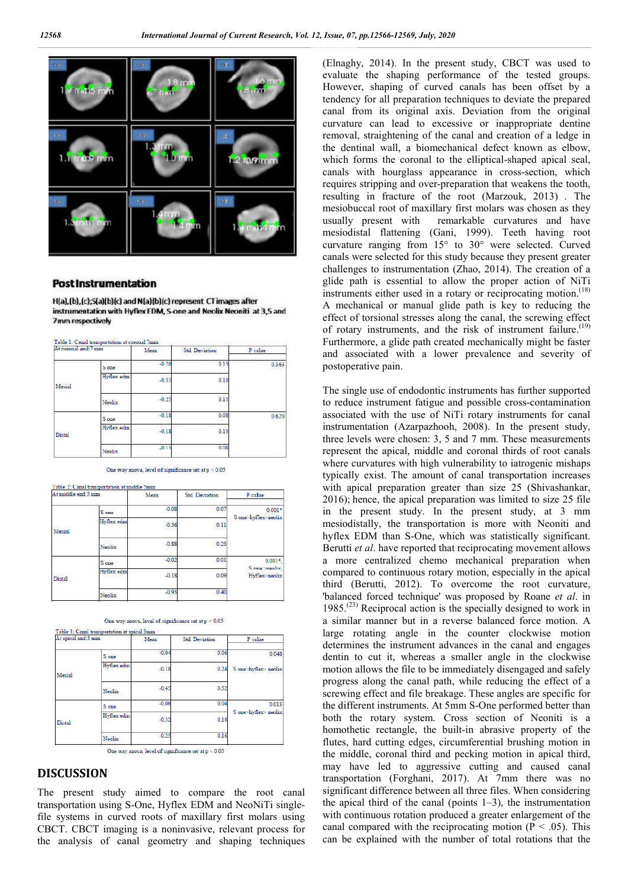

#### **Post Instrumentation**

H(a),(b),(c);S(a)(b)(c) and N(a)(b)(c) represent CT images after instrumentation with Hyflex EDM, S-one and Neolix Neoniti at 3,5 and 7mm respectively

| At coronal end:7 mm |              | Mean    | <b>Std Deviation</b> | P value |
|---------------------|--------------|---------|----------------------|---------|
|                     | S one        | $-0.20$ | 0.13                 | 0.363   |
| Mesial              | Hyflex edm   | $-0.33$ | 0.10                 |         |
|                     | Neolix       | $-0.25$ | 0.15                 |         |
|                     | <b>S</b> one | $-0.18$ | 0.08                 | 0.620   |
| Distal              | Hyflex edm   | $-0.18$ | 0.13                 |         |
|                     | Neolix       | $-0.13$ | 0.08                 |         |

One way anova, level of significance set at  $p < 0.05$ 

| At middle end:5 mm |                   | Mean    | <b>Std. Deviation</b> | P value                                  |
|--------------------|-------------------|---------|-----------------------|------------------------------------------|
|                    | S one             | $-0.08$ | 0.07                  | $0.001*$<br>S one>hyflex>neolix          |
| Mesial             | Hyflex edm        | $-0.36$ | 0.11                  |                                          |
|                    | Neolix            | $-0.88$ | 0.23                  |                                          |
| <b>Distal</b>      | S one             | $-0.02$ | 0.01                  | $0.001*$<br>Sone neolix<br>Hyflex>neolix |
|                    | <b>Hyflex</b> edm | $-0.18$ | 0.09                  |                                          |
|                    | Neolix            | $-0.93$ | 0.40                  |                                          |
|                    |                   |         |                       |                                          |

| t apical end:3 mm |            | Mean    | <b>Std Deviation</b> | P value                      |
|-------------------|------------|---------|----------------------|------------------------------|
|                   | S one      | $-0.04$ | 0.06                 | 0.048                        |
| Mesial            | Hyflex edm | $-0.18$ | 0.24                 | S one hyflex neolix          |
|                   | Neolix     | $-0.45$ | 0.52                 |                              |
| Distal            | S one      | $-0.06$ | 0.04                 | 0.013<br>S one hyflex neolix |
|                   | Hyflex edm | $-0.32$ | 0.16                 |                              |
|                   | Neolix     | $-0.25$ | 0.16                 |                              |

### One way anova, level of significance set at  $p < 0.05$

**DISCUSSION**

The present study aimed to compare the root canal transportation using S-One, Hyflex EDM and NeoNiTi singlefile systems in curved roots of maxillary first molars using CBCT. CBCT imaging is a noninvasive, relevant process for the analysis of canal geometry and shaping techniques (Elnaghy, 2014). In the present study, CBCT was used to evaluate the shaping performance of the tested groups. However, shaping of curved canals has been offset by a tendency for all preparation techniques to deviate the prepared canal from its original axis. Deviation from the original curvature can lead to excessive or inappropriate dentine removal, straightening of the canal and creation of a ledge in the dentinal wall, a biomechanical defect known as elbow, which forms the coronal to the elliptical-shaped apical seal, canals with hourglass appearance in cross-section, which requires stripping and over-preparation that weakens the tooth, resulting in fracture of the root (Marzouk, 2013) . The mesiobuccal root of maxillary first molars was chosen as they usually present with remarkable curvatures and have mesiodistal flattening (Gani, 1999). Teeth having root curvature ranging from 15° to 30° were selected. Curved canals were selected for this study because they present greater challenges to instrumentation (Zhao, 2014). The creation of a glide path is essential to allow the proper action of NiTi instruments either used in a rotary or reciprocating motion.<sup>(18)</sup> A mechanical or manual glide path is key to reducing the effect of torsional stresses along the canal, the screwing effect of rotary instruments, and the risk of instrument failure.<sup>(19)</sup> Furthermore, a glide path created mechanically might be faster and associated with a lower prevalence and severity of postoperative pain.

The single use of endodontic instruments has further supported to reduce instrument fatigue and possible cross-contamination associated with the use of NiTi rotary instruments for canal instrumentation (Azarpazhooh, 2008). In the present study, three levels were chosen: 3, 5 and 7 mm. These measurements represent the apical, middle and coronal thirds of root canals where curvatures with high vulnerability to iatrogenic mishaps typically exist. The amount of canal transportation increases with apical preparation greater than size 25 (Shivashankar, 2016); hence, the apical preparation was limited to size 25 file in the present study. In the present study, at 3 mm mesiodistally, the transportation is more with Neoniti and hyflex EDM than S-One, which was statistically significant. Berutti *et al*. have reported that reciprocating movement allows a more centralized chemo mechanical preparation when compared to continuous rotary motion, especially in the apical third (Berutti, 2012). To overcome the root curvature, 'balanced forced technique' was proposed by Roane *et al*. in  $1985$ .<sup>(23)</sup> Reciprocal action is the specially designed to work in a similar manner but in a reverse balanced force motion. A large rotating angle in the counter clockwise motion determines the instrument advances in the canal and engages dentin to cut it, whereas a smaller angle in the clockwise motion allows the file to be immediately disengaged and safely progress along the canal path, while reducing the effect of a screwing effect and file breakage. These angles are specific for the different instruments. At 5mm S-One performed better than both the rotary system. Cross section of Neoniti is a homothetic rectangle, the built-in abrasive property of the flutes, hard cutting edges, circumferential brushing motion in the middle, coronal third and pecking motion in apical third, may have led to aggressive cutting and caused canal transportation (Forghani, 2017). At 7mm there was no significant difference between all three files. When considering the apical third of the canal (points  $1-3$ ), the instrumentation with continuous rotation produced a greater enlargement of the canal compared with the reciprocating motion ( $P < .05$ ). This can be explained with the number of total rotations that the